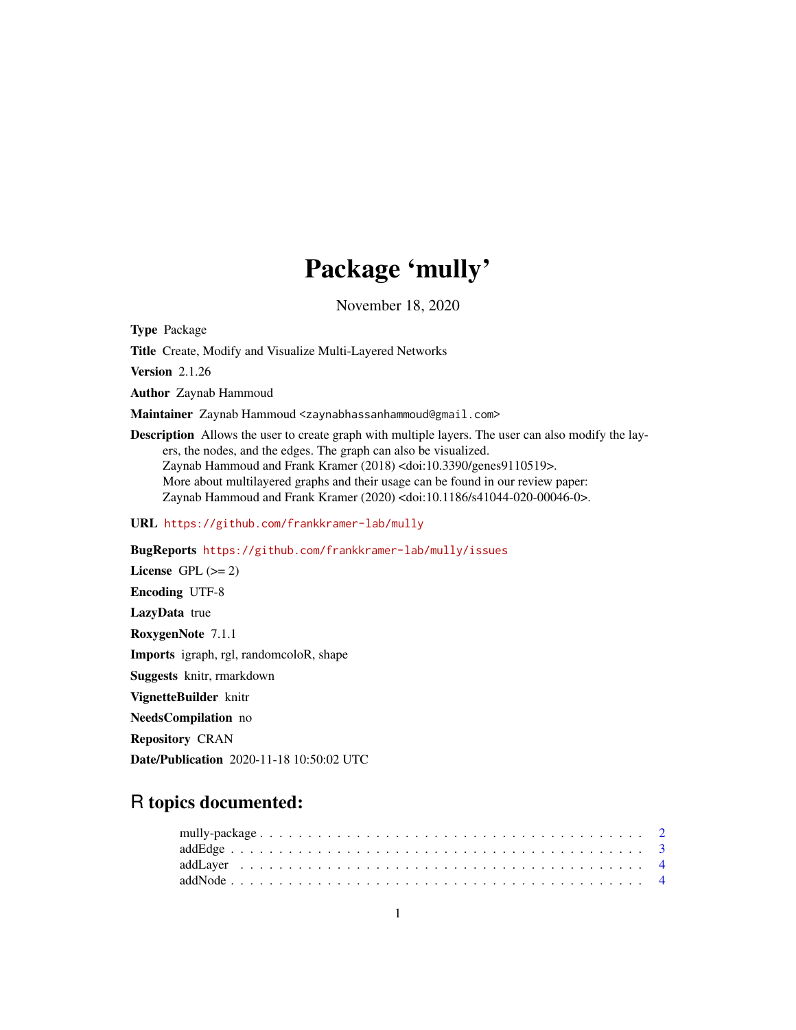# Package 'mully'

November 18, 2020

<span id="page-0-0"></span>Type Package

Title Create, Modify and Visualize Multi-Layered Networks

Version 2.1.26

Author Zaynab Hammoud

Maintainer Zaynab Hammoud <zaynabhassanhammoud@gmail.com>

Description Allows the user to create graph with multiple layers. The user can also modify the layers, the nodes, and the edges. The graph can also be visualized. Zaynab Hammoud and Frank Kramer (2018) <doi:10.3390/genes9110519>. More about multilayered graphs and their usage can be found in our review paper: Zaynab Hammoud and Frank Kramer (2020) <doi:10.1186/s41044-020-00046-0>.

URL <https://github.com/frankkramer-lab/mully>

BugReports <https://github.com/frankkramer-lab/mully/issues>

License GPL  $(>= 2)$ Encoding UTF-8 LazyData true RoxygenNote 7.1.1 Imports igraph, rgl, randomcoloR, shape Suggests knitr, rmarkdown VignetteBuilder knitr NeedsCompilation no Repository CRAN

Date/Publication 2020-11-18 10:50:02 UTC

## R topics documented: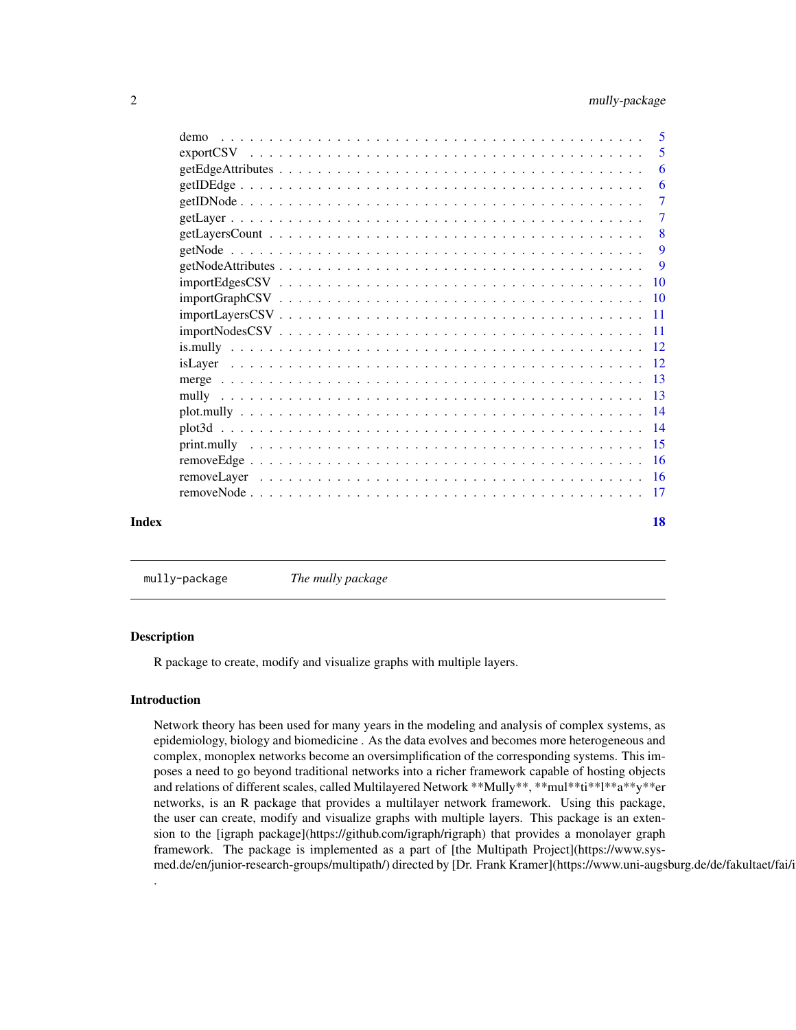<span id="page-1-0"></span>

| Index |      | 18             |
|-------|------|----------------|
|       |      |                |
|       |      |                |
|       |      |                |
|       |      |                |
|       |      |                |
|       |      |                |
|       |      |                |
|       |      |                |
|       |      |                |
|       |      |                |
|       |      |                |
|       |      |                |
|       |      |                |
|       |      |                |
|       |      | $\overline{9}$ |
|       |      | 9              |
|       |      | -8             |
|       |      | $\overline{7}$ |
|       |      | $\overline{7}$ |
|       |      | 6              |
|       |      | 6              |
|       |      | 5              |
|       | demo | -5             |

mully-package *The mully package*

#### Description

R package to create, modify and visualize graphs with multiple layers.

#### Introduction

.

Network theory has been used for many years in the modeling and analysis of complex systems, as epidemiology, biology and biomedicine . As the data evolves and becomes more heterogeneous and complex, monoplex networks become an oversimplification of the corresponding systems. This imposes a need to go beyond traditional networks into a richer framework capable of hosting objects and relations of different scales, called Multilayered Network \*\*Mully\*\*, \*\*mul\*\*ti\*\*l\*\*a\*\*y\*\*er networks, is an R package that provides a multilayer network framework. Using this package, the user can create, modify and visualize graphs with multiple layers. This package is an extension to the [igraph package](https://github.com/igraph/rigraph) that provides a monolayer graph framework. The package is implemented as a part of [the Multipath Project](https://www.sysmed.de/en/junior-research-groups/multipath/) directed by [Dr. Frank Kramer](https://www.uni-augsburg.de/de/fakultaet/fai/i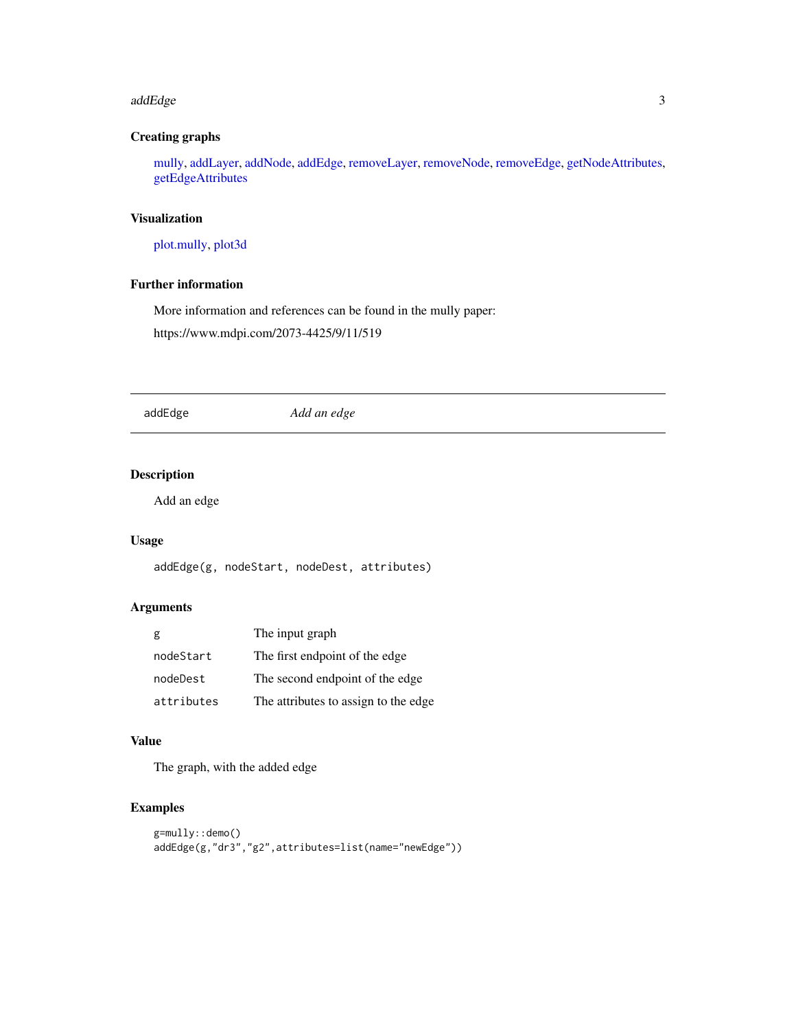#### <span id="page-2-0"></span>addEdge 3

#### Creating graphs

[mully,](#page-12-1) [addLayer,](#page-3-1) [addNode,](#page-3-2) [addEdge,](#page-2-1) [removeLayer,](#page-15-1) [removeNode,](#page-16-1) [removeEdge,](#page-15-2) [getNodeAttributes,](#page-8-1) [getEdgeAttributes](#page-5-1)

#### Visualization

[plot.mully,](#page-13-1) [plot3d](#page-13-2)

#### Further information

More information and references can be found in the mully paper:

https://www.mdpi.com/2073-4425/9/11/519

<span id="page-2-1"></span>addEdge *Add an edge*

#### Description

Add an edge

#### Usage

addEdge(g, nodeStart, nodeDest, attributes)

#### Arguments

| g          | The input graph                      |
|------------|--------------------------------------|
| nodeStart  | The first endpoint of the edge       |
| nodeDest   | The second endpoint of the edge      |
| attributes | The attributes to assign to the edge |

#### Value

The graph, with the added edge

#### Examples

```
g=mully::demo()
addEdge(g,"dr3","g2",attributes=list(name="newEdge"))
```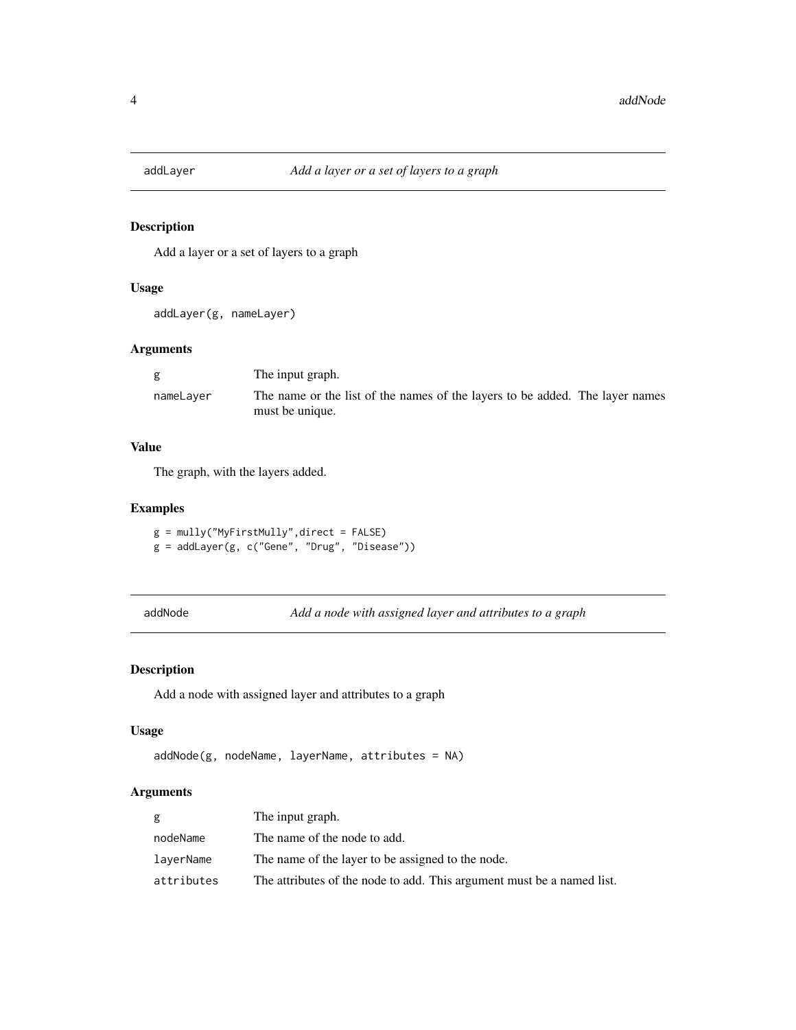<span id="page-3-1"></span><span id="page-3-0"></span>

Add a layer or a set of layers to a graph

#### Usage

addLayer(g, nameLayer)

#### Arguments

|           | The input graph.                                                                                |  |
|-----------|-------------------------------------------------------------------------------------------------|--|
| nameLayer | The name or the list of the names of the layers to be added. The layer names<br>must be unique. |  |

#### Value

The graph, with the layers added.

#### Examples

g = mully("MyFirstMully",direct = FALSE) g = addLayer(g, c("Gene", "Drug", "Disease"))

<span id="page-3-2"></span>addNode *Add a node with assigned layer and attributes to a graph*

#### Description

Add a node with assigned layer and attributes to a graph

#### Usage

```
addNode(g, nodeName, layerName, attributes = NA)
```
#### Arguments

| g          | The input graph.                                                       |
|------------|------------------------------------------------------------------------|
| nodeName   | The name of the node to add.                                           |
| laverName  | The name of the layer to be assigned to the node.                      |
| attributes | The attributes of the node to add. This argument must be a named list. |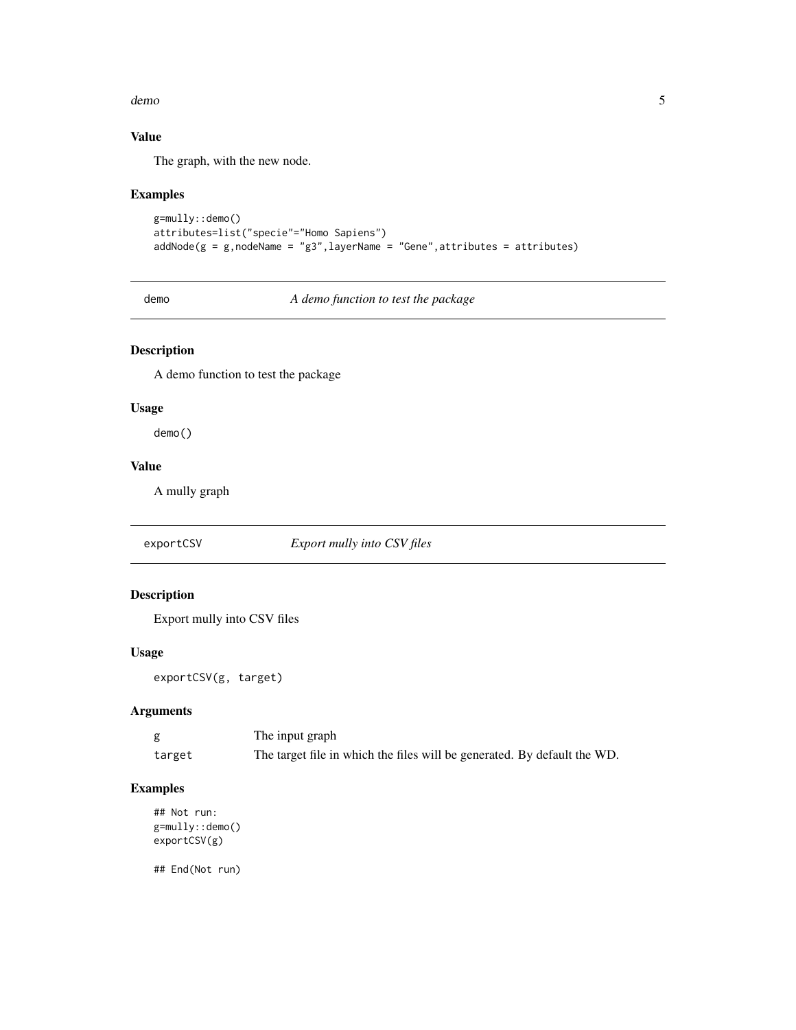#### <span id="page-4-0"></span>demo 5

#### Value

The graph, with the new node.

#### Examples

```
g=mully::demo()
attributes=list("specie"="Homo Sapiens")
addNode(g = g, nodeName = "g3", layerName = "Gene", attributes = attributes)
```
demo *A demo function to test the package*

#### Description

A demo function to test the package

#### Usage

demo()

#### Value

A mully graph

exportCSV *Export mully into CSV files*

#### Description

Export mully into CSV files

#### Usage

exportCSV(g, target)

#### Arguments

|        | The input graph                                                          |
|--------|--------------------------------------------------------------------------|
| target | The target file in which the files will be generated. By default the WD. |

#### Examples

```
## Not run:
g=mully::demo()
exportCSV(g)
```
## End(Not run)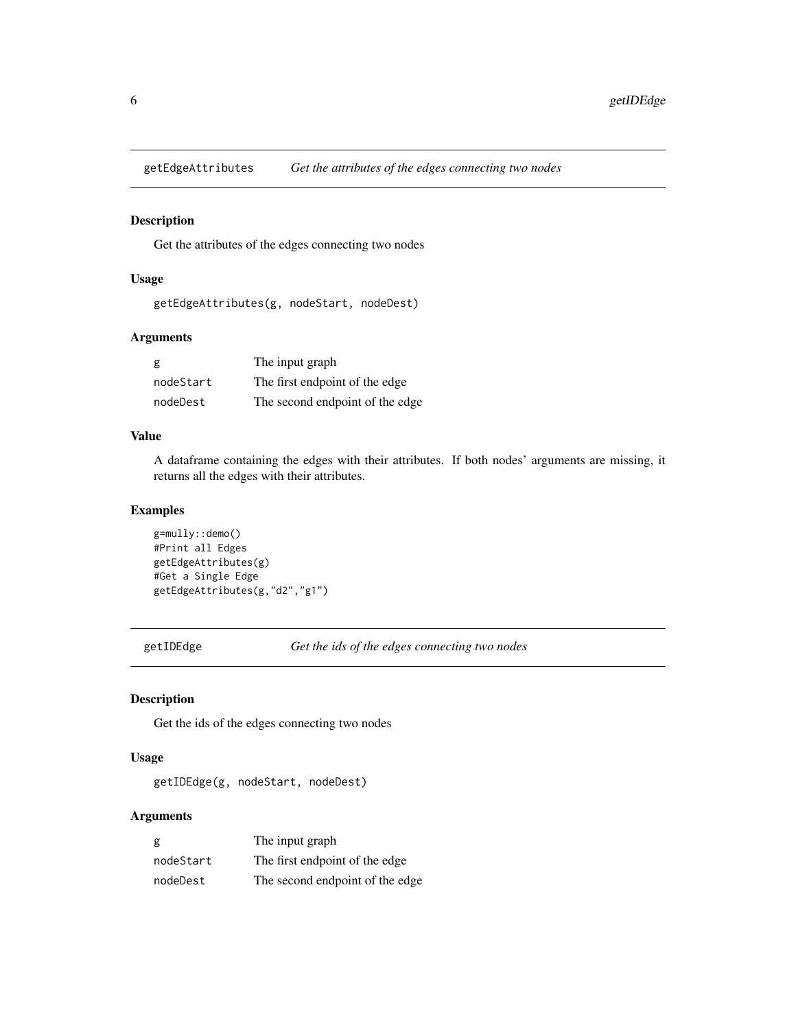<span id="page-5-1"></span><span id="page-5-0"></span>getEdgeAttributes *Get the attributes of the edges connecting two nodes*

#### Description

Get the attributes of the edges connecting two nodes

#### Usage

```
getEdgeAttributes(g, nodeStart, nodeDest)
```
#### Arguments

| g         | The input graph                 |
|-----------|---------------------------------|
| nodeStart | The first endpoint of the edge  |
| nodeDest  | The second endpoint of the edge |

#### Value

A dataframe containing the edges with their attributes. If both nodes' arguments are missing, it returns all the edges with their attributes.

#### Examples

```
g=mully::demo()
#Print all Edges
getEdgeAttributes(g)
#Get a Single Edge
getEdgeAttributes(g,"d2","g1")
```
getIDEdge *Get the ids of the edges connecting two nodes*

#### Description

Get the ids of the edges connecting two nodes

#### Usage

getIDEdge(g, nodeStart, nodeDest)

#### Arguments

| g         | The input graph                 |
|-----------|---------------------------------|
| nodeStart | The first endpoint of the edge  |
| nodeDest  | The second endpoint of the edge |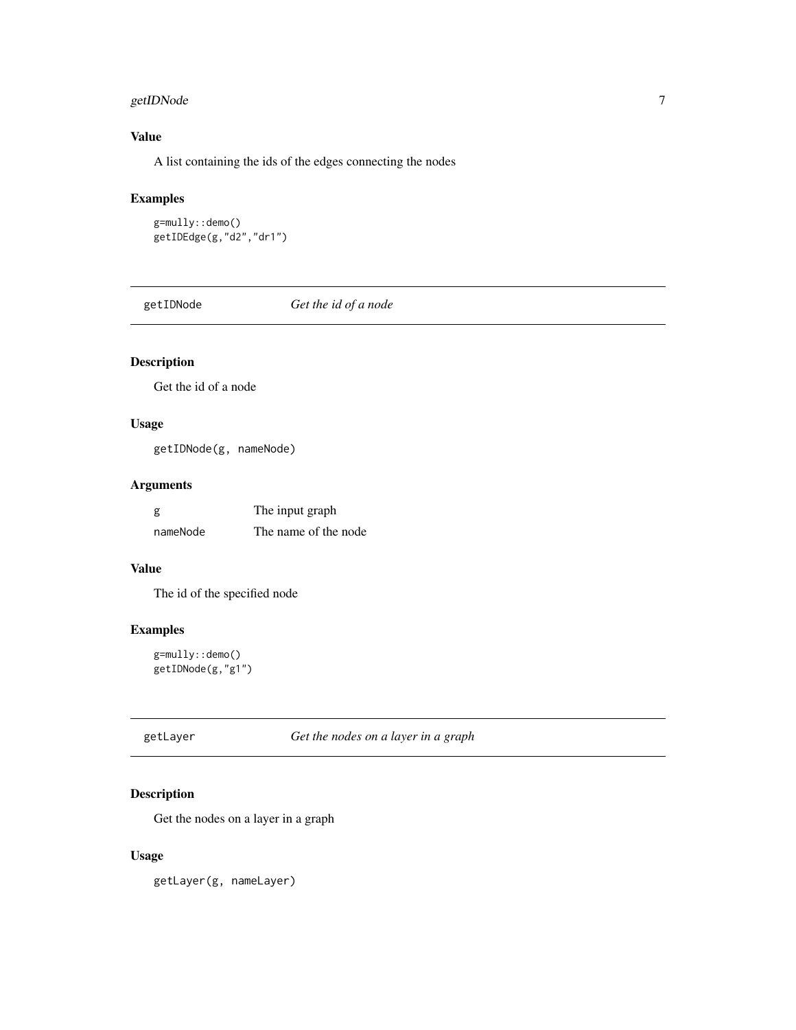#### <span id="page-6-0"></span>getIDNode 7

#### Value

A list containing the ids of the edges connecting the nodes

#### Examples

```
g=mully::demo()
getIDEdge(g,"d2","dr1")
```
getIDNode *Get the id of a node*

#### Description

Get the id of a node

#### Usage

getIDNode(g, nameNode)

#### Arguments

| g        | The input graph      |
|----------|----------------------|
| nameNode | The name of the node |

#### Value

The id of the specified node

#### Examples

```
g=mully::demo()
getIDNode(g,"g1")
```
getLayer *Get the nodes on a layer in a graph*

#### Description

Get the nodes on a layer in a graph

#### Usage

getLayer(g, nameLayer)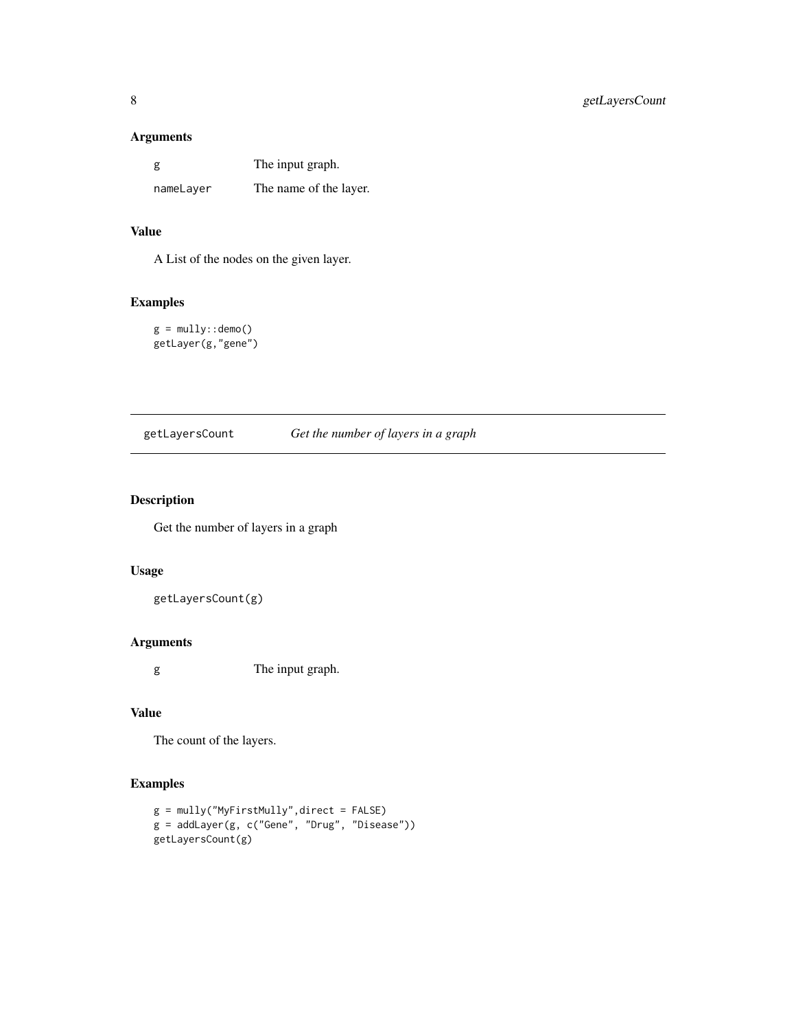#### <span id="page-7-0"></span>Arguments

| g         | The input graph.       |
|-----------|------------------------|
| nameLayer | The name of the layer. |

#### Value

A List of the nodes on the given layer.

#### Examples

 $g = mully::demo()$ getLayer(g,"gene")

| getLayersCount | Get the number of layers in a graph |  |  |  |
|----------------|-------------------------------------|--|--|--|
|                |                                     |  |  |  |

#### Description

Get the number of layers in a graph

#### Usage

getLayersCount(g)

#### Arguments

g The input graph.

#### Value

The count of the layers.

#### Examples

```
g = mully("MyFirstMully",direct = FALSE)
g = addLayer(g, c("Gene", "Drug", "Disease"))
getLayersCount(g)
```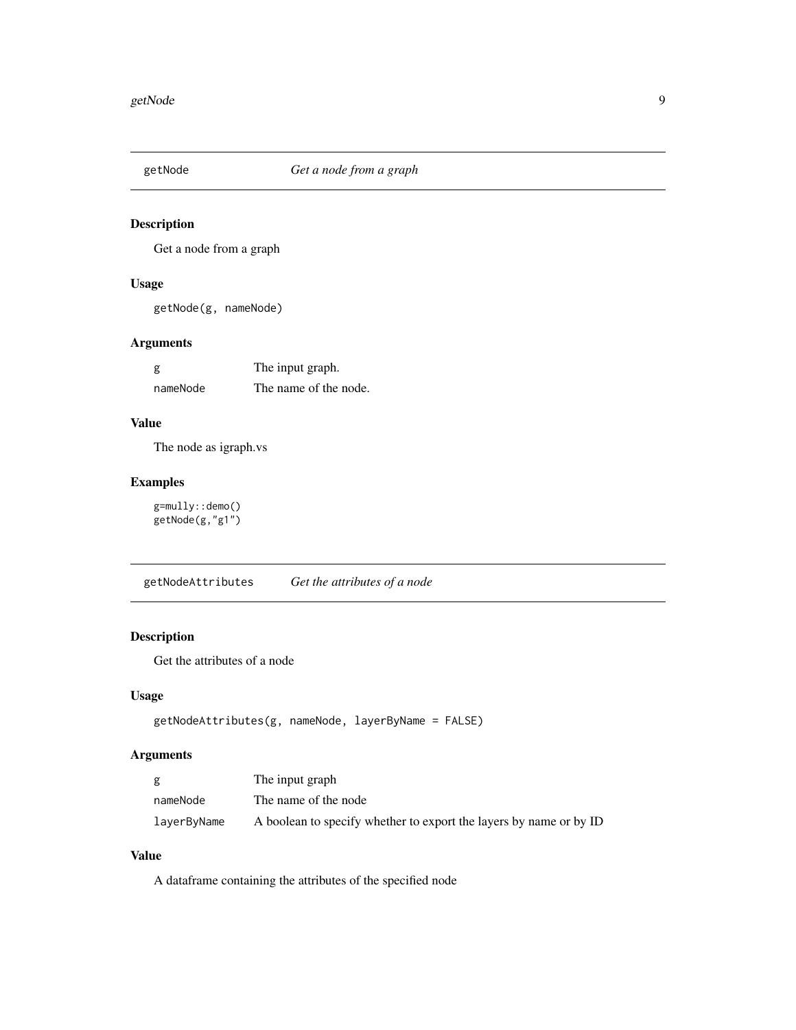<span id="page-8-0"></span>

Get a node from a graph

#### Usage

getNode(g, nameNode)

#### Arguments

| g        | The input graph.      |
|----------|-----------------------|
| nameNode | The name of the node. |

#### Value

The node as igraph.vs

#### Examples

g=mully::demo() getNode(g,"g1")

<span id="page-8-1"></span>getNodeAttributes *Get the attributes of a node*

### Description

Get the attributes of a node

#### Usage

```
getNodeAttributes(g, nameNode, layerByName = FALSE)
```
#### Arguments

|             | The input graph                                                    |
|-------------|--------------------------------------------------------------------|
| nameNode    | The name of the node                                               |
| layerByName | A boolean to specify whether to export the layers by name or by ID |

#### Value

A dataframe containing the attributes of the specified node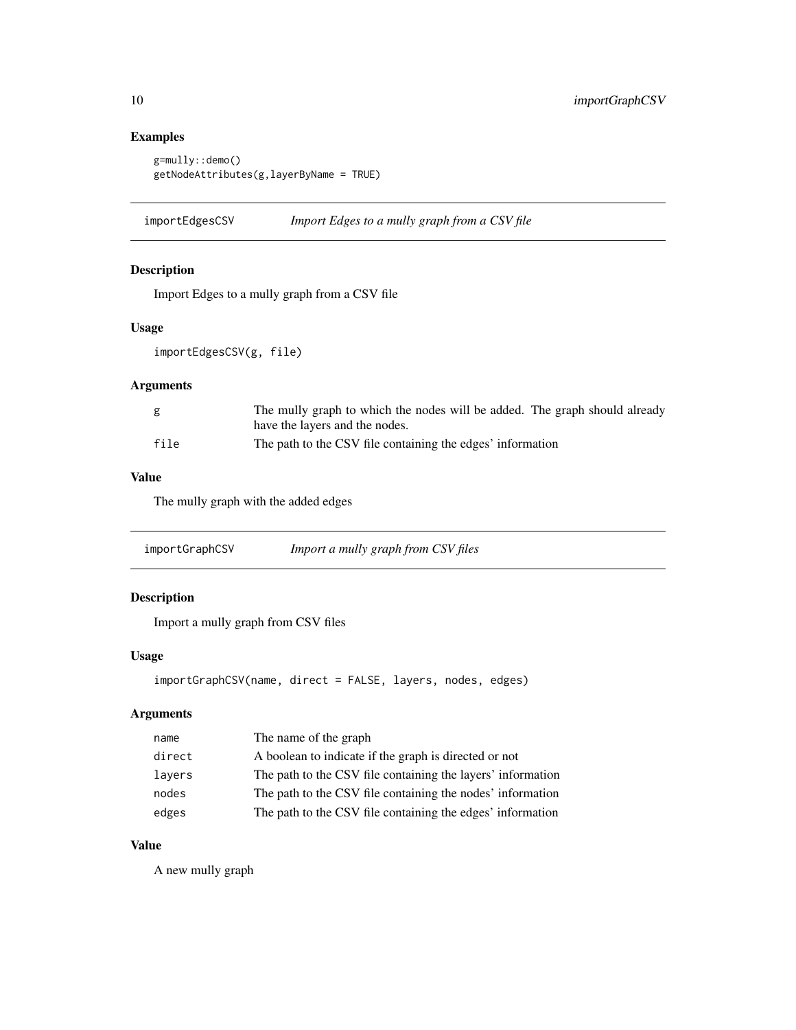#### Examples

```
g=mully::demo()
getNodeAttributes(g,layerByName = TRUE)
```
importEdgesCSV *Import Edges to a mully graph from a CSV file*

#### Description

Import Edges to a mully graph from a CSV file

#### Usage

importEdgesCSV(g, file)

#### Arguments

|      | The mully graph to which the nodes will be added. The graph should already |
|------|----------------------------------------------------------------------------|
|      | have the layers and the nodes.                                             |
| file | The path to the CSV file containing the edges' information                 |

#### Value

The mully graph with the added edges

importGraphCSV *Import a mully graph from CSV files*

#### Description

Import a mully graph from CSV files

#### Usage

```
importGraphCSV(name, direct = FALSE, layers, nodes, edges)
```
#### Arguments

| name   | The name of the graph                                       |
|--------|-------------------------------------------------------------|
| direct | A boolean to indicate if the graph is directed or not       |
| layers | The path to the CSV file containing the layers' information |
| nodes  | The path to the CSV file containing the nodes' information  |
| edges  | The path to the CSV file containing the edges' information  |

#### Value

A new mully graph

<span id="page-9-0"></span>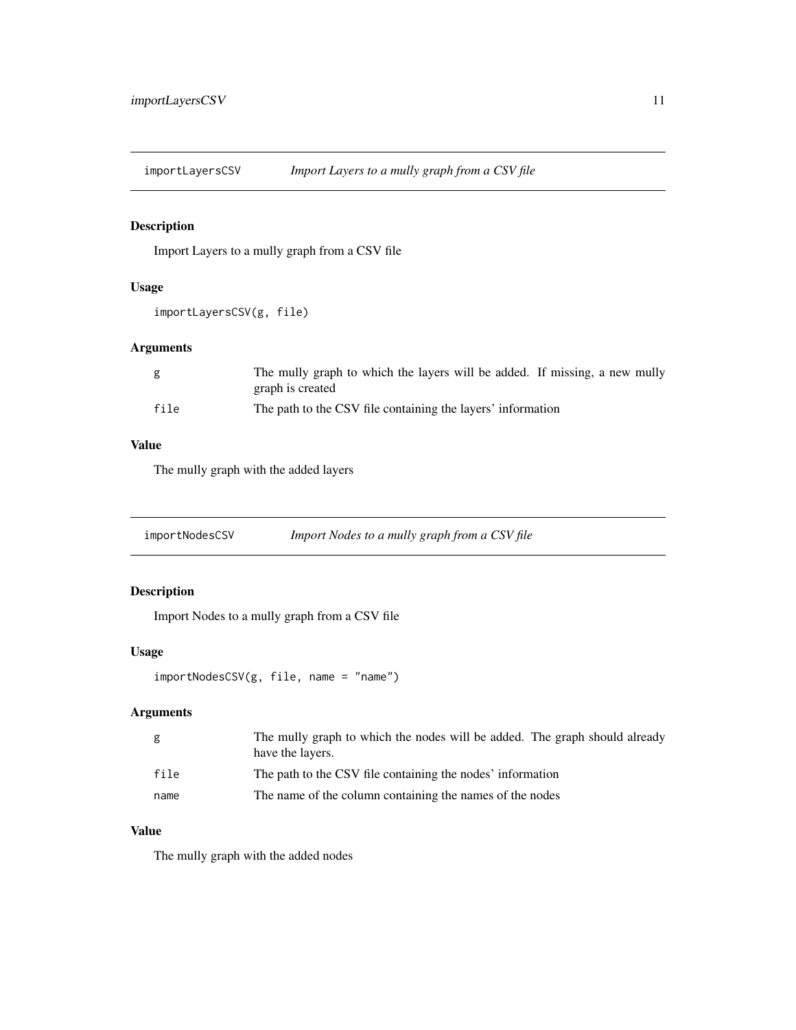<span id="page-10-0"></span>importLayersCSV *Import Layers to a mully graph from a CSV file*

#### Description

Import Layers to a mully graph from a CSV file

#### Usage

```
importLayersCSV(g, file)
```
#### Arguments

| g    | The mully graph to which the layers will be added. If missing, a new mully<br>graph is created |
|------|------------------------------------------------------------------------------------------------|
| file | The path to the CSV file containing the layers' information                                    |

#### Value

The mully graph with the added layers

importNodesCSV *Import Nodes to a mully graph from a CSV file*

#### Description

Import Nodes to a mully graph from a CSV file

#### Usage

importNodesCSV(g, file, name = "name")

#### Arguments

| g    | The mully graph to which the nodes will be added. The graph should already<br>have the layers. |
|------|------------------------------------------------------------------------------------------------|
| file | The path to the CSV file containing the nodes' information                                     |
| name | The name of the column containing the names of the nodes                                       |

### Value

The mully graph with the added nodes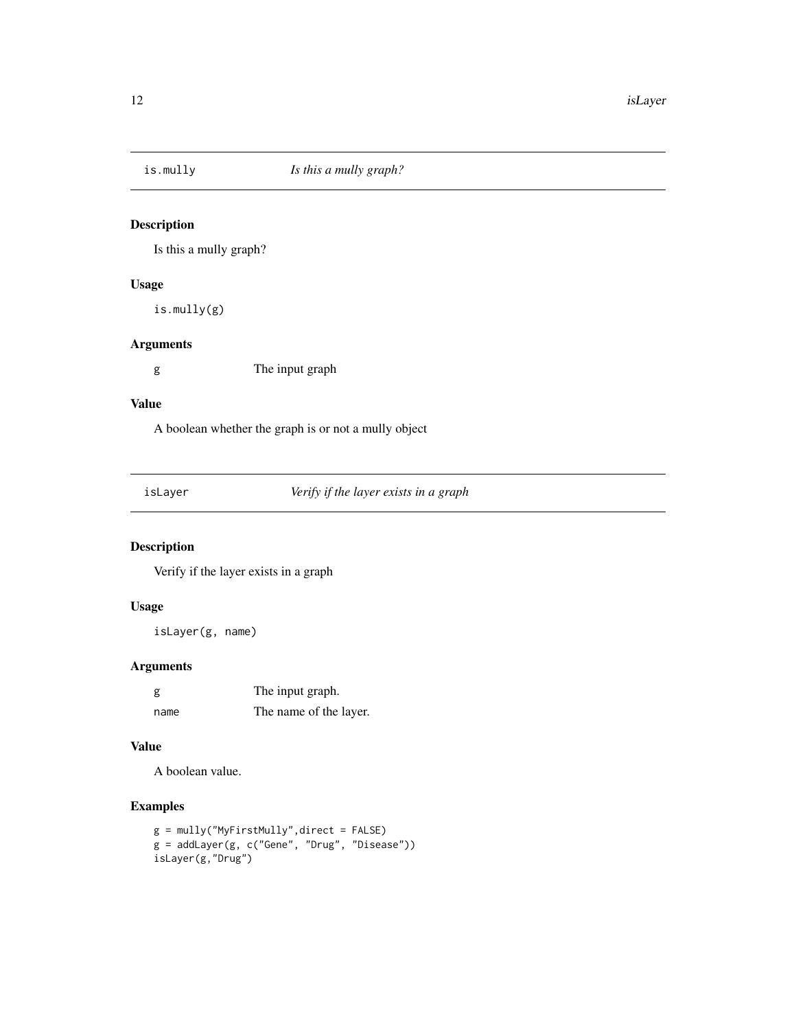<span id="page-11-0"></span>

Is this a mully graph?

#### Usage

is.mully(g)

#### Arguments

g The input graph

#### Value

A boolean whether the graph is or not a mully object

isLayer *Verify if the layer exists in a graph*

#### Description

Verify if the layer exists in a graph

#### Usage

isLayer(g, name)

#### Arguments

| g    | The input graph.       |
|------|------------------------|
| name | The name of the layer. |

#### Value

A boolean value.

#### Examples

```
g = mully("MyFirstMully",direct = FALSE)
g = addLayer(g, c("Gene", "Drug", "Disease"))
isLayer(g,"Drug")
```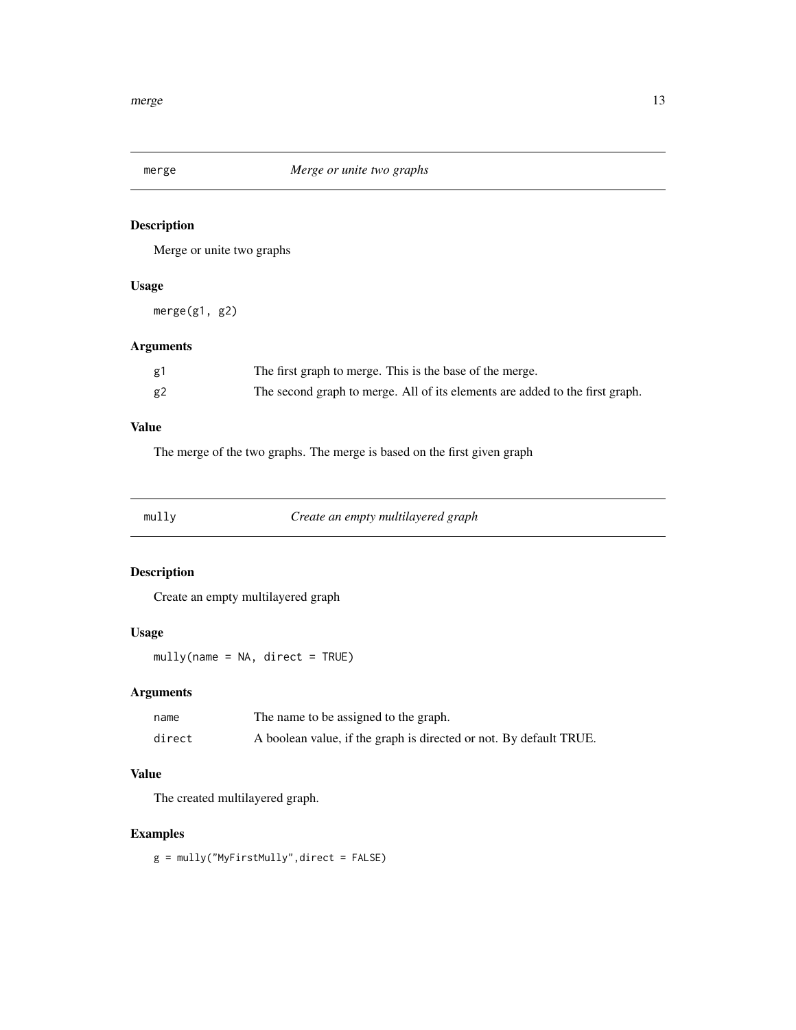<span id="page-12-0"></span>

Merge or unite two graphs

#### Usage

merge(g1, g2)

#### Arguments

| g1 | The first graph to merge. This is the base of the merge.                     |
|----|------------------------------------------------------------------------------|
| g2 | The second graph to merge. All of its elements are added to the first graph. |

#### Value

The merge of the two graphs. The merge is based on the first given graph

<span id="page-12-1"></span>mully *Create an empty multilayered graph*

#### Description

Create an empty multilayered graph

#### Usage

mully(name = NA, direct = TRUE)

#### Arguments

| name   | The name to be assigned to the graph.                              |
|--------|--------------------------------------------------------------------|
| direct | A boolean value, if the graph is directed or not. By default TRUE. |

#### Value

The created multilayered graph.

#### Examples

g = mully("MyFirstMully",direct = FALSE)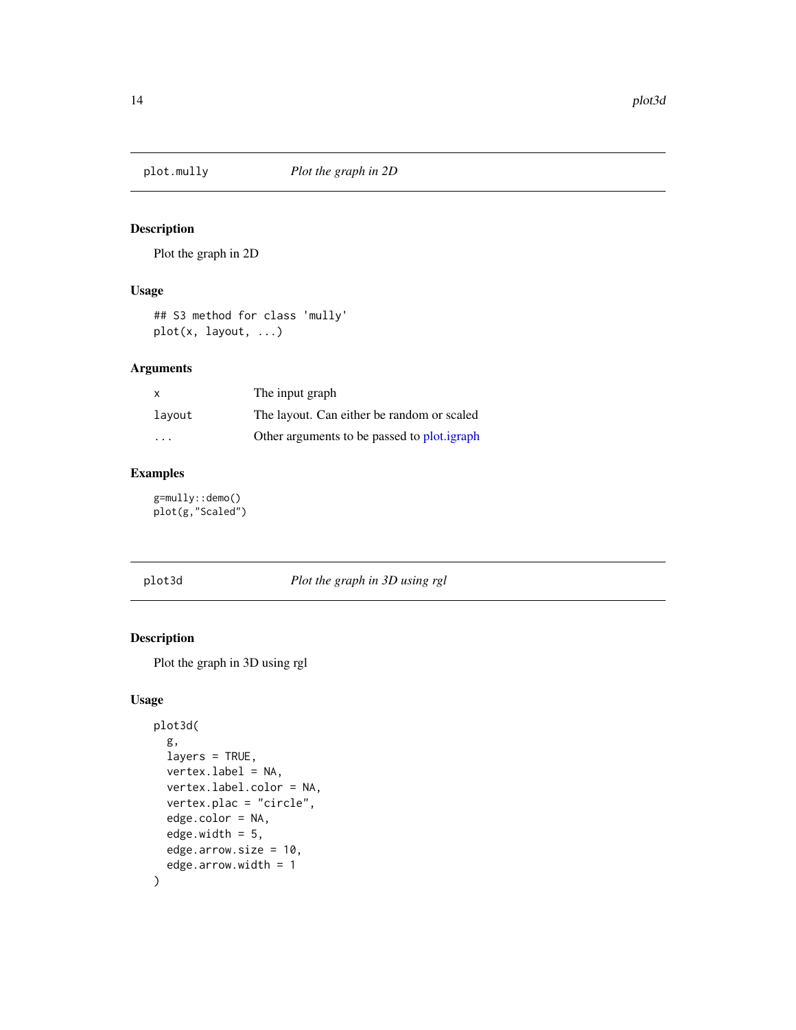<span id="page-13-1"></span><span id="page-13-0"></span>

Plot the graph in 2D

#### Usage

## S3 method for class 'mully' plot(x, layout, ...)

#### Arguments

|                         | The input graph                             |
|-------------------------|---------------------------------------------|
| layout                  | The layout. Can either be random or scaled  |
| $\cdot$ $\cdot$ $\cdot$ | Other arguments to be passed to plot.igraph |

#### Examples

g=mully::demo() plot(g,"Scaled")

<span id="page-13-2"></span>plot3d *Plot the graph in 3D using rgl*

#### Description

Plot the graph in 3D using rgl

#### Usage

```
plot3d(
  g,
  layers = TRUE,
  vertex.label = NA,
  vertex.label.color = NA,
  vertex.plac = "circle",
  edge.color = NA,
  edge.width = 5,
  edge.arrow.size = 10,
  edge.arrow.width = 1
\mathcal{L}
```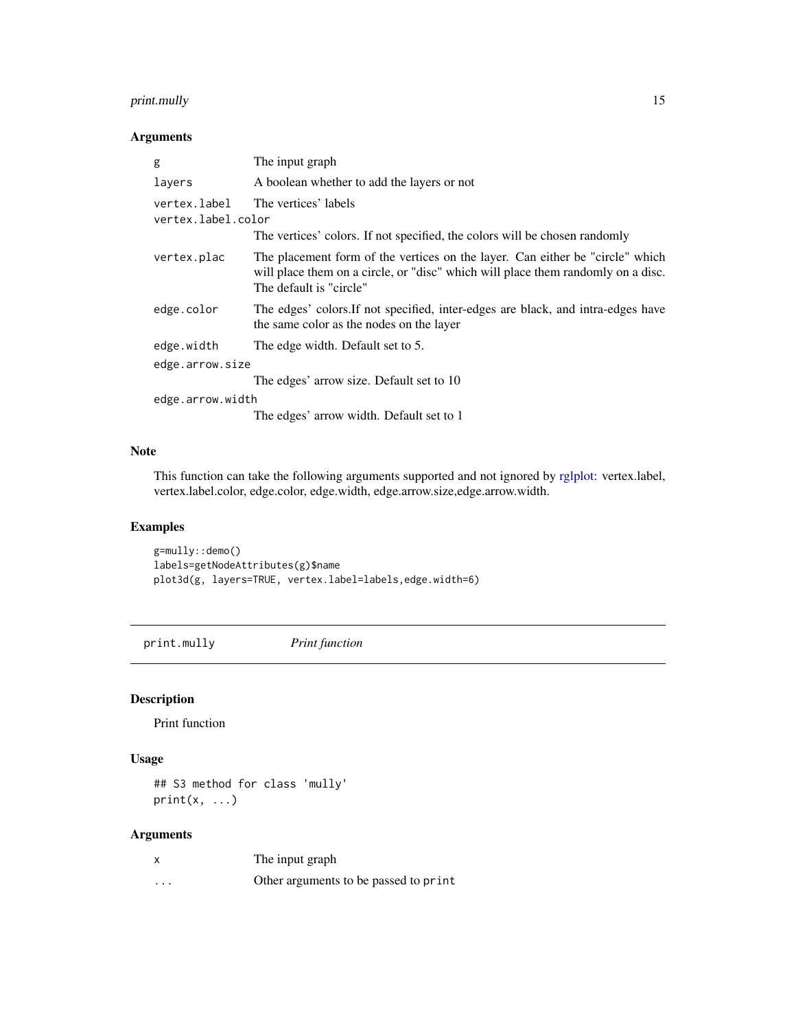#### <span id="page-14-0"></span>print.mully 15

#### Arguments

| g                                  | The input graph                                                                                                                                                                              |
|------------------------------------|----------------------------------------------------------------------------------------------------------------------------------------------------------------------------------------------|
| layers                             | A boolean whether to add the layers or not                                                                                                                                                   |
| vertex.label<br>vertex.label.color | The vertices' labels                                                                                                                                                                         |
|                                    | The vertices' colors. If not specified, the colors will be chosen randomly                                                                                                                   |
| vertex.plac                        | The placement form of the vertices on the layer. Can either be "circle" which<br>will place them on a circle, or "disc" which will place them randomly on a disc.<br>The default is "circle" |
| edge.color                         | The edges' colors. If not specified, inter-edges are black, and intra-edges have<br>the same color as the nodes on the layer                                                                 |
| edge.width                         | The edge width. Default set to 5.                                                                                                                                                            |
| edge.arrow.size                    |                                                                                                                                                                                              |
|                                    | The edges' arrow size. Default set to 10                                                                                                                                                     |
| edge.arrow.width                   |                                                                                                                                                                                              |
|                                    | The edges' arrow width. Default set to 1                                                                                                                                                     |

#### Note

This function can take the following arguments supported and not ignored by [rglplot:](#page-0-0) vertex.label, vertex.label.color, edge.color, edge.width, edge.arrow.size,edge.arrow.width.

#### Examples

g=mully::demo() labels=getNodeAttributes(g)\$name plot3d(g, layers=TRUE, vertex.label=labels,edge.width=6)

print.mully *Print function*

#### Description

Print function

#### Usage

## S3 method for class 'mully'  $print(x, \ldots)$ 

#### Arguments

| X | The input graph                       |
|---|---------------------------------------|
| . | Other arguments to be passed to print |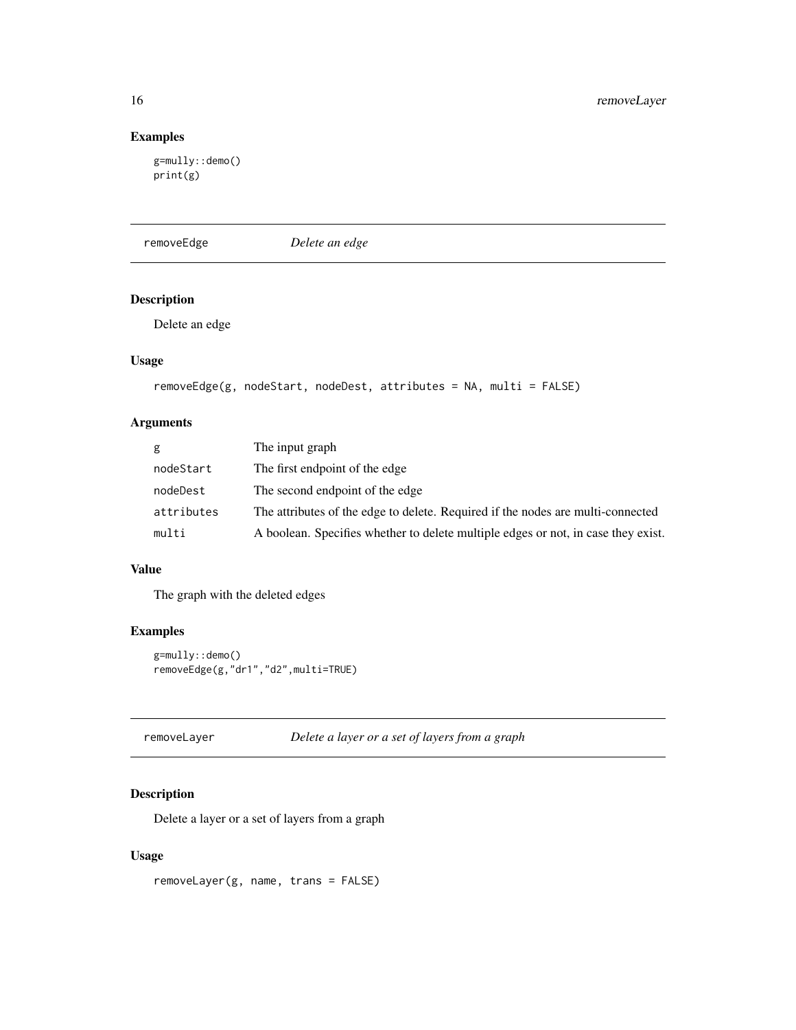#### Examples

```
g=mully::demo()
print(g)
```
<span id="page-15-2"></span>removeEdge *Delete an edge*

#### Description

Delete an edge

#### Usage

```
removeEdge(g, nodeStart, nodeDest, attributes = NA, multi = FALSE)
```
#### Arguments

| g          | The input graph                                                                   |
|------------|-----------------------------------------------------------------------------------|
| nodeStart  | The first endpoint of the edge                                                    |
| nodeDest   | The second endpoint of the edge                                                   |
| attributes | The attributes of the edge to delete. Required if the nodes are multi-connected   |
| multi      | A boolean. Specifies whether to delete multiple edges or not, in case they exist. |

#### Value

The graph with the deleted edges

#### Examples

```
g=mully::demo()
removeEdge(g,"dr1","d2",multi=TRUE)
```
<span id="page-15-1"></span>

| removeLayer |  | Delete a layer or a set of layers from a graph |
|-------------|--|------------------------------------------------|
|-------------|--|------------------------------------------------|

#### Description

Delete a layer or a set of layers from a graph

#### Usage

removeLayer(g, name, trans = FALSE)

<span id="page-15-0"></span>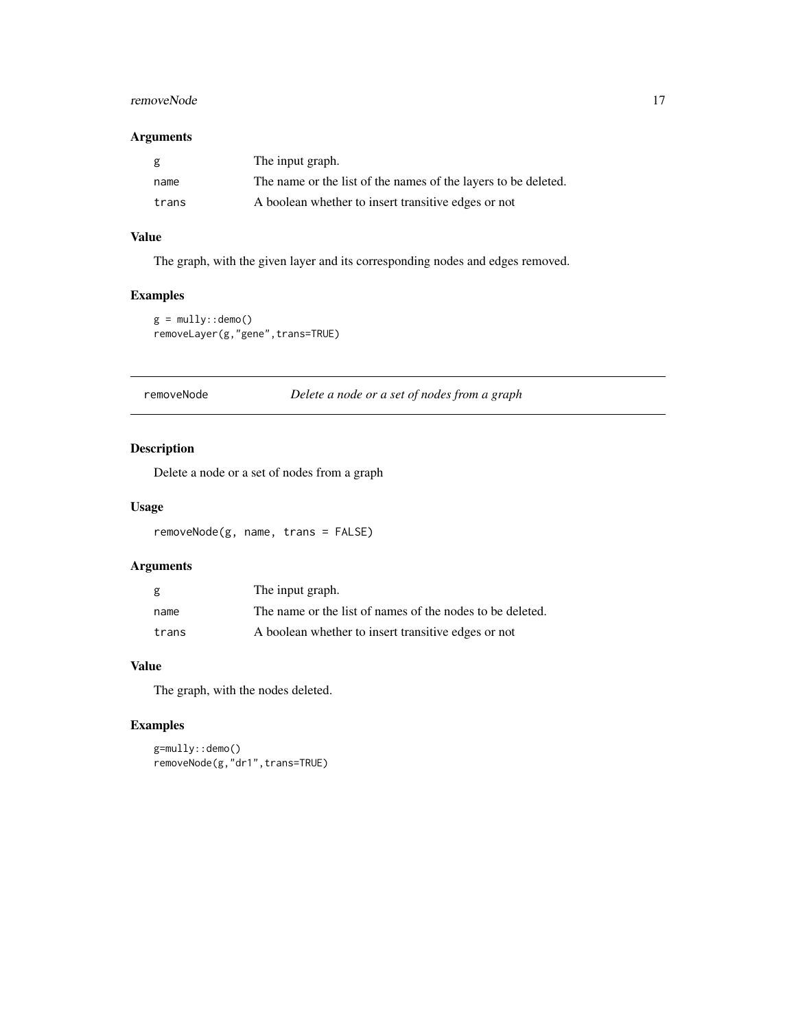#### <span id="page-16-0"></span>removeNode 17

#### Arguments

| g     | The input graph.                                               |
|-------|----------------------------------------------------------------|
| name  | The name or the list of the names of the layers to be deleted. |
| trans | A boolean whether to insert transitive edges or not            |

#### Value

The graph, with the given layer and its corresponding nodes and edges removed.

#### Examples

```
g = mully::demo()removeLayer(g,"gene",trans=TRUE)
```
<span id="page-16-1"></span>removeNode *Delete a node or a set of nodes from a graph*

#### Description

Delete a node or a set of nodes from a graph

#### Usage

removeNode(g, name, trans = FALSE)

#### Arguments

| g     | The input graph.                                          |
|-------|-----------------------------------------------------------|
| name  | The name or the list of names of the nodes to be deleted. |
| trans | A boolean whether to insert transitive edges or not       |

#### Value

The graph, with the nodes deleted.

#### Examples

g=mully::demo() removeNode(g,"dr1",trans=TRUE)